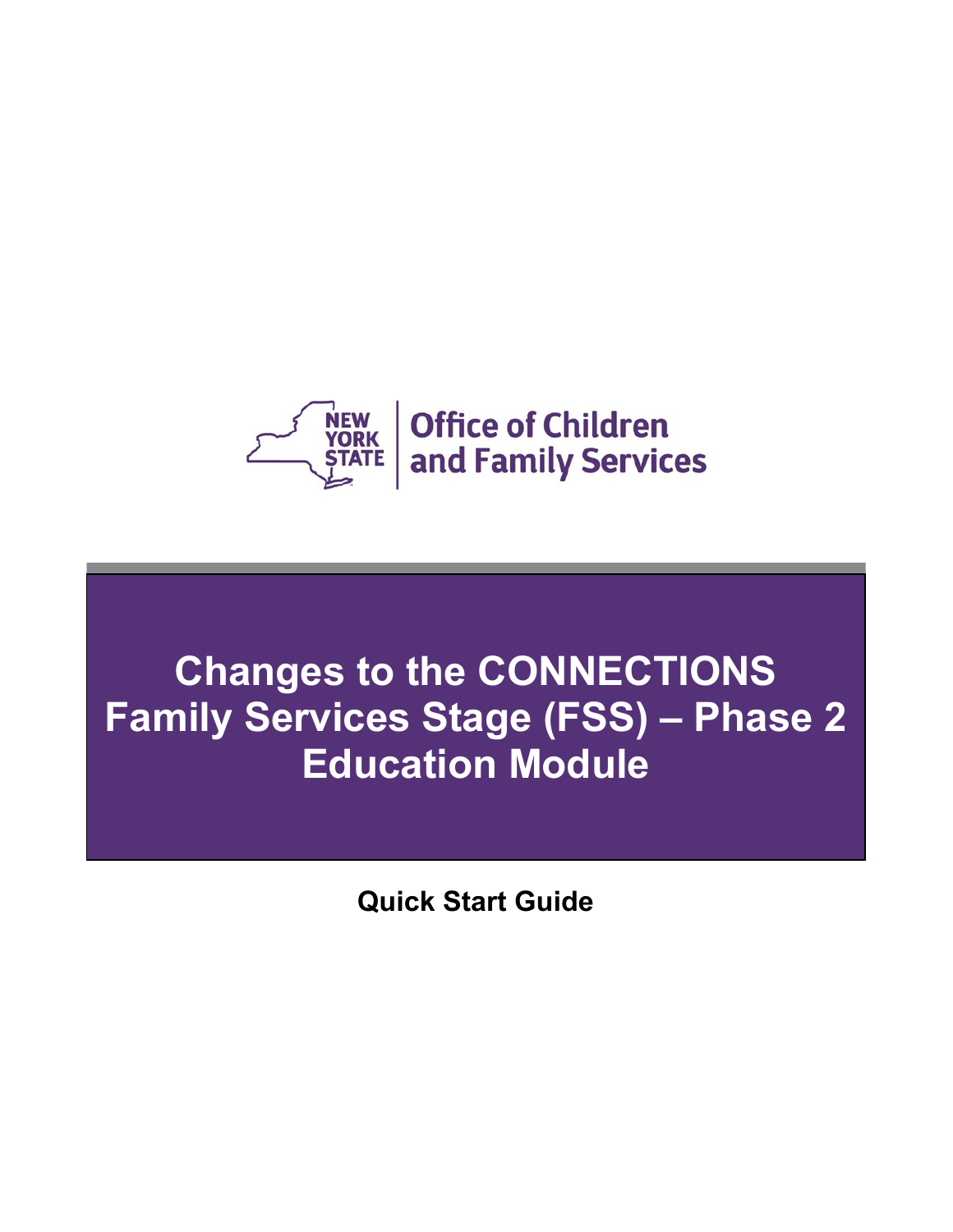

# **Changes to the CONNECTIONS Family Services Stage (FSS) – Phase 2 Education Module**

**Quick Start Guide**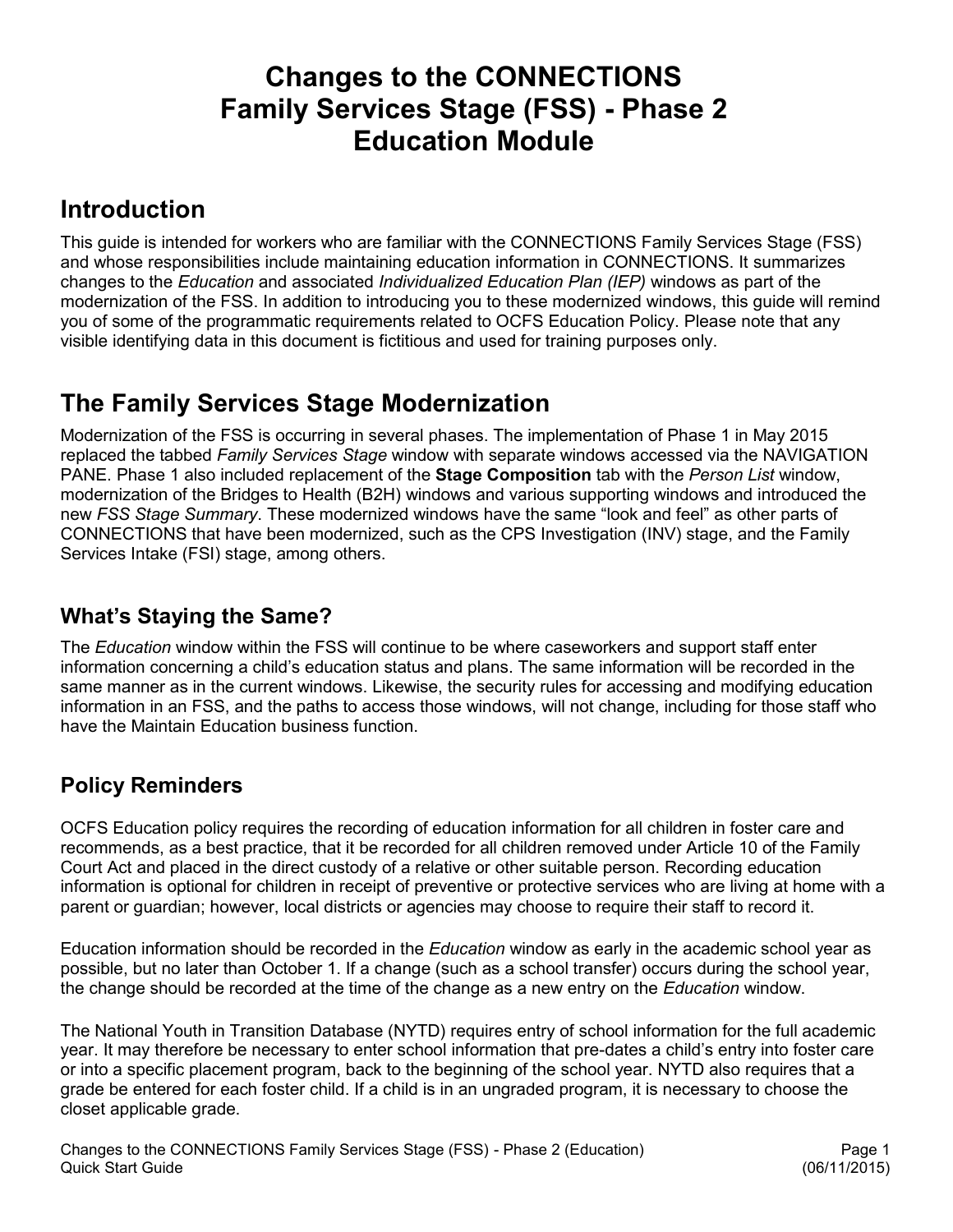# **Changes to the CONNECTIONS Family Services Stage (FSS) - Phase 2 Education Module**

# **Introduction**

This guide is intended for workers who are familiar with the CONNECTIONS Family Services Stage (FSS) and whose responsibilities include maintaining education information in CONNECTIONS. It summarizes changes to the *Education* and associated *Individualized Education Plan (IEP)* windows as part of the modernization of the FSS. In addition to introducing you to these modernized windows, this guide will remind you of some of the programmatic requirements related to OCFS Education Policy. Please note that any visible identifying data in this document is fictitious and used for training purposes only.

# **The Family Services Stage Modernization**

Modernization of the FSS is occurring in several phases. The implementation of Phase 1 in May 2015 replaced the tabbed *Family Services Stage* window with separate windows accessed via the NAVIGATION PANE. Phase 1 also included replacement of the **Stage Composition** tab with the *Person List* window, modernization of the Bridges to Health (B2H) windows and various supporting windows and introduced the new *FSS Stage Summary*. These modernized windows have the same "look and feel" as other parts of CONNECTIONS that have been modernized, such as the CPS Investigation (INV) stage, and the Family Services Intake (FSI) stage, among others.

### **What's Staying the Same?**

The *Education* window within the FSS will continue to be where caseworkers and support staff enter information concerning a child's education status and plans. The same information will be recorded in the same manner as in the current windows. Likewise, the security rules for accessing and modifying education information in an FSS, and the paths to access those windows, will not change, including for those staff who have the Maintain Education business function.

### **Policy Reminders**

OCFS Education policy requires the recording of education information for all children in foster care and recommends, as a best practice, that it be recorded for all children removed under Article 10 of the Family Court Act and placed in the direct custody of a relative or other suitable person. Recording education information is optional for children in receipt of preventive or protective services who are living at home with a parent or guardian; however, local districts or agencies may choose to require their staff to record it.

Education information should be recorded in the *Education* window as early in the academic school year as possible, but no later than October 1. If a change (such as a school transfer) occurs during the school year, the change should be recorded at the time of the change as a new entry on the *Education* window.

The National Youth in Transition Database (NYTD) requires entry of school information for the full academic year. It may therefore be necessary to enter school information that pre-dates a child's entry into foster care or into a specific placement program, back to the beginning of the school year. NYTD also requires that a grade be entered for each foster child. If a child is in an ungraded program, it is necessary to choose the closet applicable grade.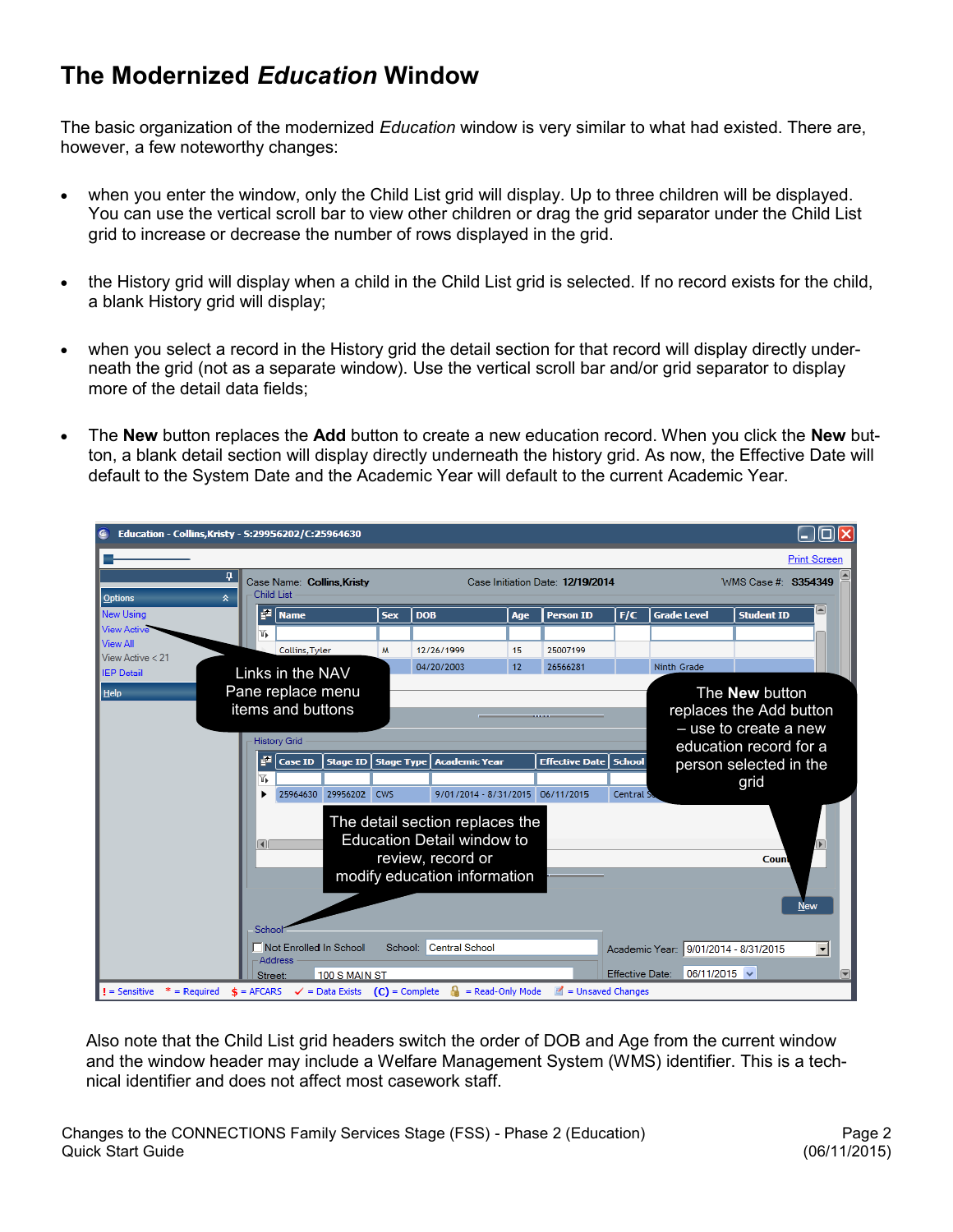# **The Modernized** *Education* **Window**

The basic organization of the modernized *Education* window is very similar to what had existed. There are, however, a few noteworthy changes:

- when you enter the window, only the Child List grid will display. Up to three children will be displayed. You can use the vertical scroll bar to view other children or drag the grid separator under the Child List grid to increase or decrease the number of rows displayed in the grid.
- the History grid will display when a child in the Child List grid is selected. If no record exists for the child, a blank History grid will display;
- when you select a record in the History grid the detail section for that record will display directly underneath the grid (not as a separate window). Use the vertical scroll bar and/or grid separator to display more of the detail data fields;
- The **New** button replaces the **Add** button to create a new education record. When you click the **New** button, a blank detail section will display directly underneath the history grid. As now, the Effective Date will default to the System Date and the Academic Year will default to the current Academic Year.



Also note that the Child List grid headers switch the order of DOB and Age from the current window and the window header may include a Welfare Management System (WMS) identifier. This is a technical identifier and does not affect most casework staff.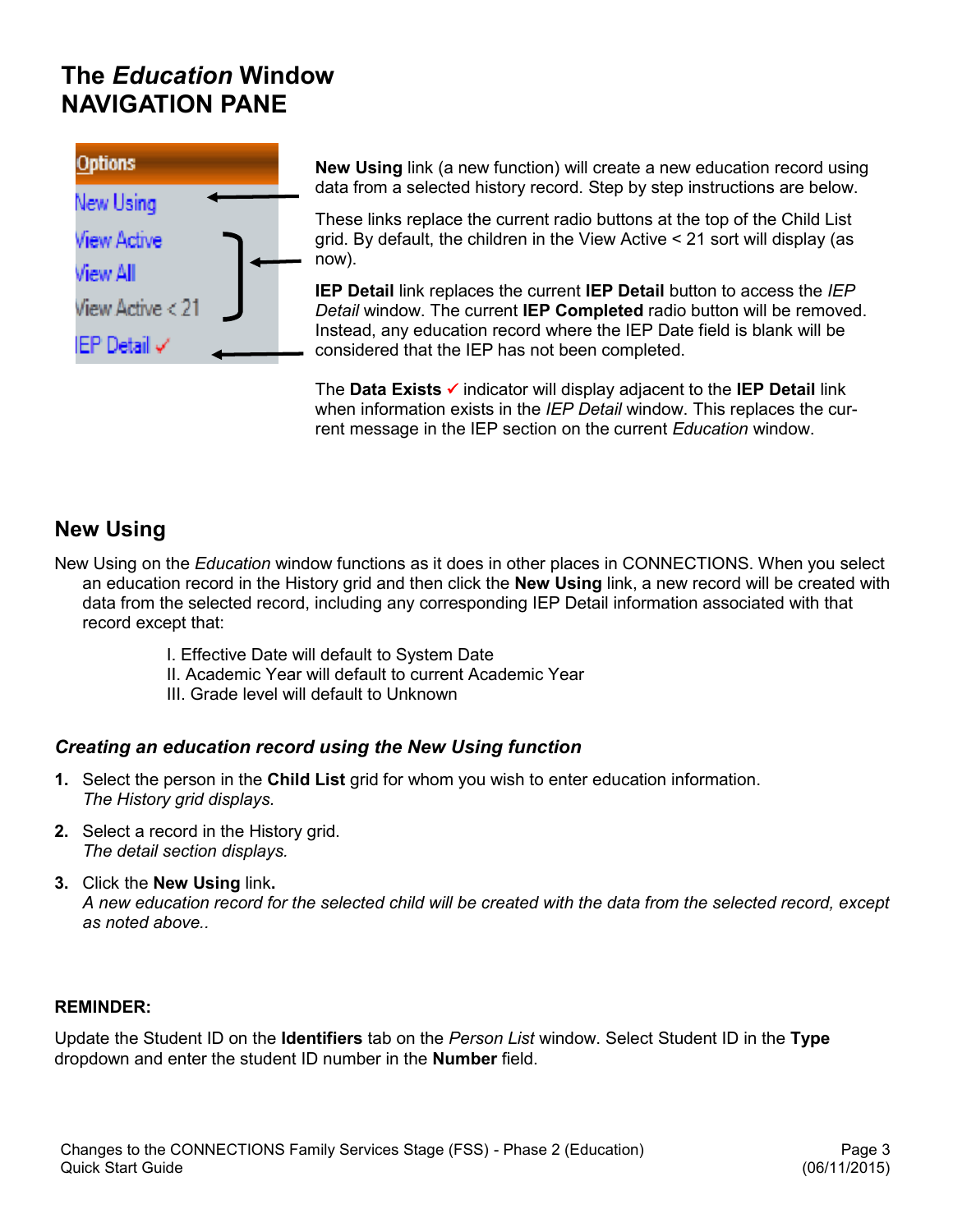# **The** *Education* **Window NAVIGATION PANE**



**New Using** link (a new function) will create a new education record using data from a selected history record. Step by step instructions are below.

These links replace the current radio buttons at the top of the Child List grid. By default, the children in the View Active < 21 sort will display (as now).

**IEP Detail** link replaces the current **IEP Detail** button to access the *IEP Detail* window. The current **IEP Completed** radio button will be removed. Instead, any education record where the IEP Date field is blank will be considered that the IEP has not been completed.

The **Data Exists**  indicator will display adjacent to the **IEP Detail** link when information exists in the *IEP Detail* window. This replaces the current message in the IEP section on the current *Education* window.

### **New Using**

New Using on the *Education* window functions as it does in other places in CONNECTIONS. When you select an education record in the History grid and then click the **New Using** link, a new record will be created with data from the selected record, including any corresponding IEP Detail information associated with that record except that:

- I. Effective Date will default to System Date
- II. Academic Year will default to current Academic Year
- III. Grade level will default to Unknown

#### *Creating an education record using the New Using function*

- **1.** Select the person in the **Child List** grid for whom you wish to enter education information. *The History grid displays.*
- **2.** Select a record in the History grid. *The detail section displays.*
- **3.** Click the **New Using** link**.** *A new education record for the selected child will be created with the data from the selected record, except as noted above..*

#### **REMINDER:**

Update the Student ID on the **Identifiers** tab on the *Person List* window. Select Student ID in the **Type** dropdown and enter the student ID number in the **Number** field.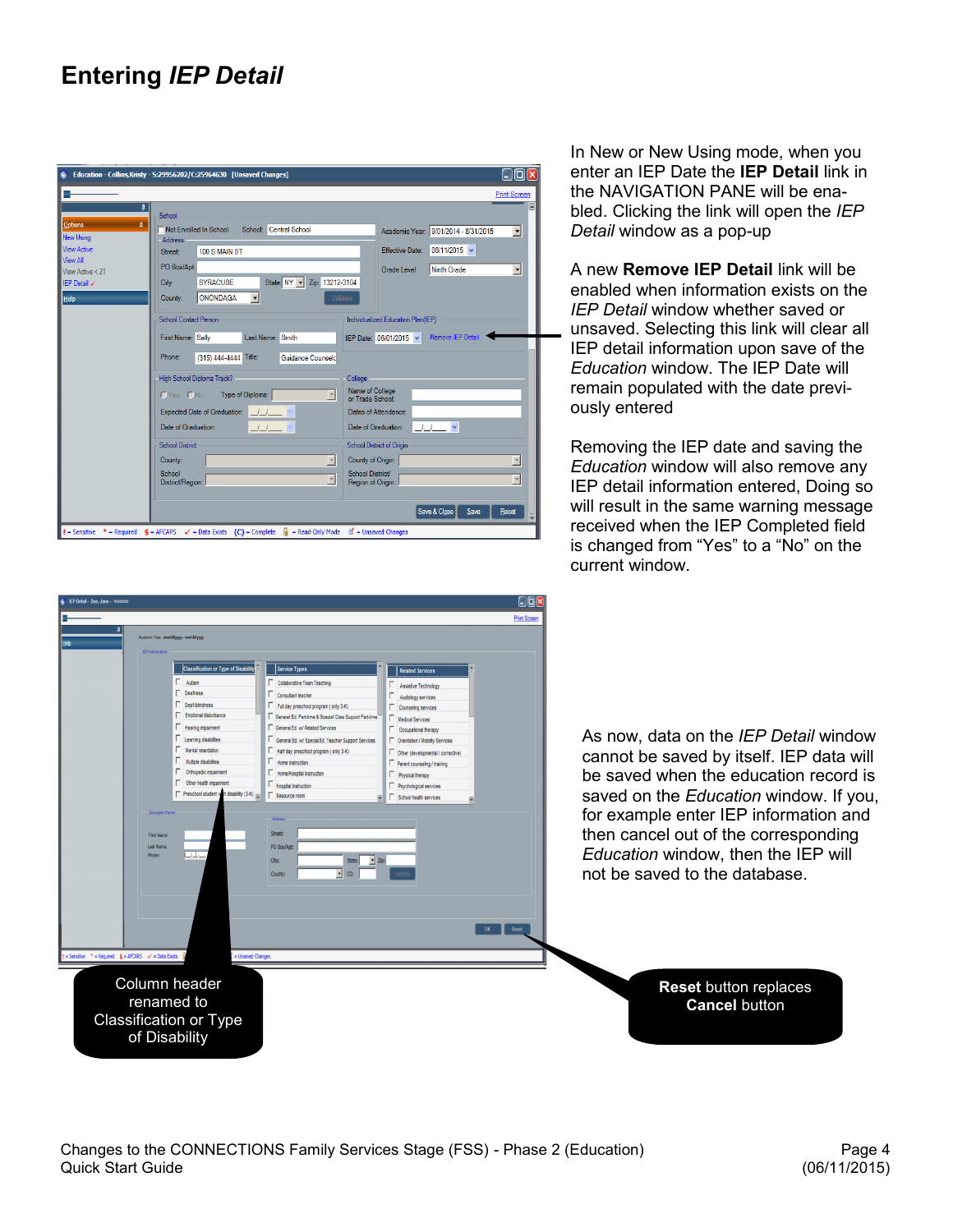# **Entering** *IEP Detail*

|                                                                                                                                        |                                                                                                                                                                                                                                                                                                                                                                                                               | <b>Print Screen</b>                                                                                                                                                                                                                                                                                                                     |
|----------------------------------------------------------------------------------------------------------------------------------------|---------------------------------------------------------------------------------------------------------------------------------------------------------------------------------------------------------------------------------------------------------------------------------------------------------------------------------------------------------------------------------------------------------------|-----------------------------------------------------------------------------------------------------------------------------------------------------------------------------------------------------------------------------------------------------------------------------------------------------------------------------------------|
| ą<br>$\mathbf{\hat{x}}$<br>Options<br><b>New Using</b><br><b>View Active</b><br>View All<br>View Active $<$ 21<br>IFP Detail V<br>Help | School<br>School: Central School<br>Not Enrolled In School<br>Address<br>100 S MAIN ST<br>Street:<br>PO Box/Apt:<br>State: NY -<br>Zip: 13212-3104<br><b>SYRACUSE</b><br>City:<br>ONONDAGA<br>Validate<br>County:                                                                                                                                                                                             | ⋐<br>Academic Year: 9/01/2014 - 8/31/2015<br>$\overline{\phantom{a}}$<br>$06/11/2015$ $\vee$<br>Effective Date:<br>$\blacksquare$<br>Ninth Grade<br>Grade Level:                                                                                                                                                                        |
|                                                                                                                                        | <b>School Contact Person</b><br>Last Name: Smith<br>First Name: Sally<br>Phone:<br>Title:<br>(315) 444-4444<br>Guidance Counselo<br>High School Diploma Track?<br>College<br>$\mathbf v$<br>Type of Diploma:<br>$OYes$ $ONo$<br>Expected Date of Graduation:<br>Date of Graduation:<br><b>School District</b><br>$\overline{\phantom{a}}$<br>County:<br>School<br>$\overline{\mathbf{v}}$<br>District/Region: | Individualized Education Plan(IEP)<br><b>Remove IEP Detai</b><br>IEP Date: 06/01/2015 v<br>Name of College<br>or Trade School:<br>Dates of Attendance:<br>Date of Graduation:<br><b>School District of Origin</b><br>County of Origin:<br>$\overline{\phantom{a}}$<br>School District/<br>$\overline{\phantom{0}}$<br>Region of Origin: |
|                                                                                                                                        |                                                                                                                                                                                                                                                                                                                                                                                                               | Save & Close<br>Save<br>Reset                                                                                                                                                                                                                                                                                                           |

In New or New Using mode, when you enter an IEP Date the **IEP Detail** link in the NAVIGATION PANE will be enabled. Clicking the link will open the *IEP Detail* window as a pop-up

A new **Remove IEP Detail** link will be enabled when information exists on the *IEP Detail* window whether saved or \_ unsaved. Selecting this link will clear all IEP detail information upon save of the *Education* window. The IEP Date will remain populated with the date previously entered

Removing the IEP date and saving the *Education* window will also remove any IEP detail information entered, Doing so will result in the same warning message received when the IEP Completed field is changed from "Yes" to a "No" on the current window.